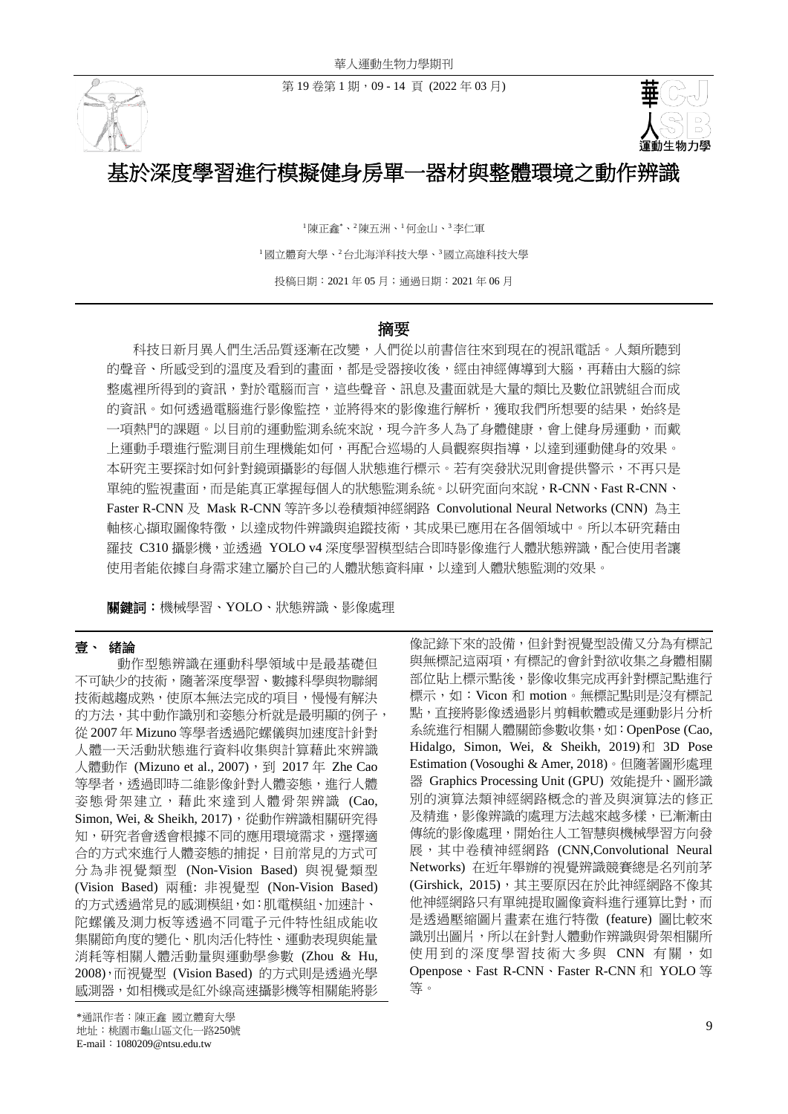第 19卷第 1 期, 09 - 14 頁 (2022年 03月)





# 基於深度學習進行模擬健身房單一器材與整體環境之動作辨識

<sup>1</sup>陳正鑫\*、<sup>2</sup>陳五洲、<sup>1</sup>何金山、<sup>3</sup>李仁軍 <sup>1</sup>國立體育大學、<sup>2</sup>台北海洋科技大學、<sup>3</sup>國立高雄科技大學 投稿日期:2021 年 05 月;通過日期:2021 年 06 月

# 摘要

科技日新月異人們生活品質逐漸在改變,人們從以前書信往來到現在的視訊電話。人類所聽到 的聲音、所感受到的溫度及看到的畫面,都是受器接收後,經由神經傳導到大腦,再藉由大腦的綜 整處裡所得到的資訊,對於電腦而言,這些聲音、訊息及畫面就是大量的類比及數位訊號組合而成 的資訊。如何透過電腦進行影像監控,並將得來的影像進行解析,獲取我們所想要的結果,始終是 一項熱門的課題。以目前的運動監測系統來說,現今許多人為了身體健康,會上健身房運動,而戴 上運動手環進行監測目前生理機能如何,再配合巡場的人員觀察與指導,以達到運動健身的效果。 本研究主要探討如何針對鏡頭攝影的每個人狀態進行標示。若有突發狀況則會提供警示,不再只是 單純的監視畫面,而是能真正掌握每個人的狀態監測系統。以研究面向來說,R-CNN、Fast R-CNN、 Faster R-CNN 及 Mask R-CNN 等許多以卷積類神經網路 Convolutional Neural Networks (CNN) 為主 軸核心擷取圖像特徵,以達成物件辨識與追蹤技術,其成果已應用在各個領域中。所以本研究藉由 羅技 C310 攝影機,並透過 YOLO v4 深度學習模型結合即時影像進行人體狀態辨識,配合使用者讓 使用者能依據自身需求建立屬於自己的人體狀態資料庫,以達到人體狀態監測的效果。

關鍵詞:機械學習、YOLO、狀態辨識、影像處理

#### 壹、 緒論

動作型態辨識在運動科學領域中是最基礎但 不可缺少的技術,隨著深度學習、數據科學與物聯網 技術越趨成熟,使原本無法完成的項目,慢慢有解決 的方法,其中動作識別和姿態分析就是最明顯的例子, 從 2007 年 Mizuno 等學者透過陀螺儀與加速度計針對 人體一天活動狀態進行資料收集與計算藉此來辨識 人體動作 (Mizuno et al., 2007), 到 2017年 Zhe Cao 等學者,透過即時二維影像針對人體姿態,進行人體 姿態骨架建立,藉此來達到人體骨架辨識 (Cao, Simon, Wei, & Sheikh, 2017), 從動作辨識相關研究得 知,研究者會诱會根據不同的應用環境需求,選擇適 合的方式來進行人體姿態的捕捉,目前常見的方式可 分為非視覺類型 (Non-Vision Based) 與視覺類型 (Vision Based) 兩種: 非視覺型 (Non-Vision Based) 的方式透過常見的感測模組,如:肌電模組、加速計、 陀螺儀及測力板等透過不同電子元件特性組成能收 集關節角度的變化、肌肉活化特性、運動表現與能量 消耗等相關人體活動量與運動學參數 (Zhou & Hu, 2008),而視覺型 (Vision Based) 的方式則是透過光學 感測器,如相機或是紅外線高速攝影機等相關能將影

像記錄下來的設備,但針對視覺型設備又分為有標記 與無標記這兩項,有標記的會針對欲收集之身體相關 部位貼上標示點後,影像收集完成再針對標記點進行 標示,如:Vicon 和 motion。無標記點則是沒有標記 點,直接將影像透過影片剪輯軟體或是運動影片分析 系統進行相關人體關節參數收集,如:OpenPose (Cao, Hidalgo, Simon, Wei, & Sheikh, 2019)和 3D Pose Estimation (Vosoughi & Amer, 2018)。但隨著圖形處理 器 Graphics Processing Unit (GPU) 效能提升、圖形識 別的演算法類神經網路概念的普及與演算法的修正 及精進,影像辨識的處理方法越來越多樣,已漸漸由 傳統的影像處理,開始往人工智慧與機械學習方向發 展,其中卷積神經網路 (CNN,Convolutional Neural Networks) 在近年舉辦的視覺辨識競賽總是名列前茅 (Girshick, 2015),其主要原因在於此神經網路不像其 他神經網路只有單純提取圖像資料進行運算比對,而 是透過壓縮圖片畫素在進行特徵 (feature) 圖比較來 識別出圖片,所以在針對人體動作辨識與骨架相關所 使用到的深度學習技術大多與 CNN 有關, 如 Openpose、Fast R-CNN、Faster R-CNN 和 YOLO 等 等。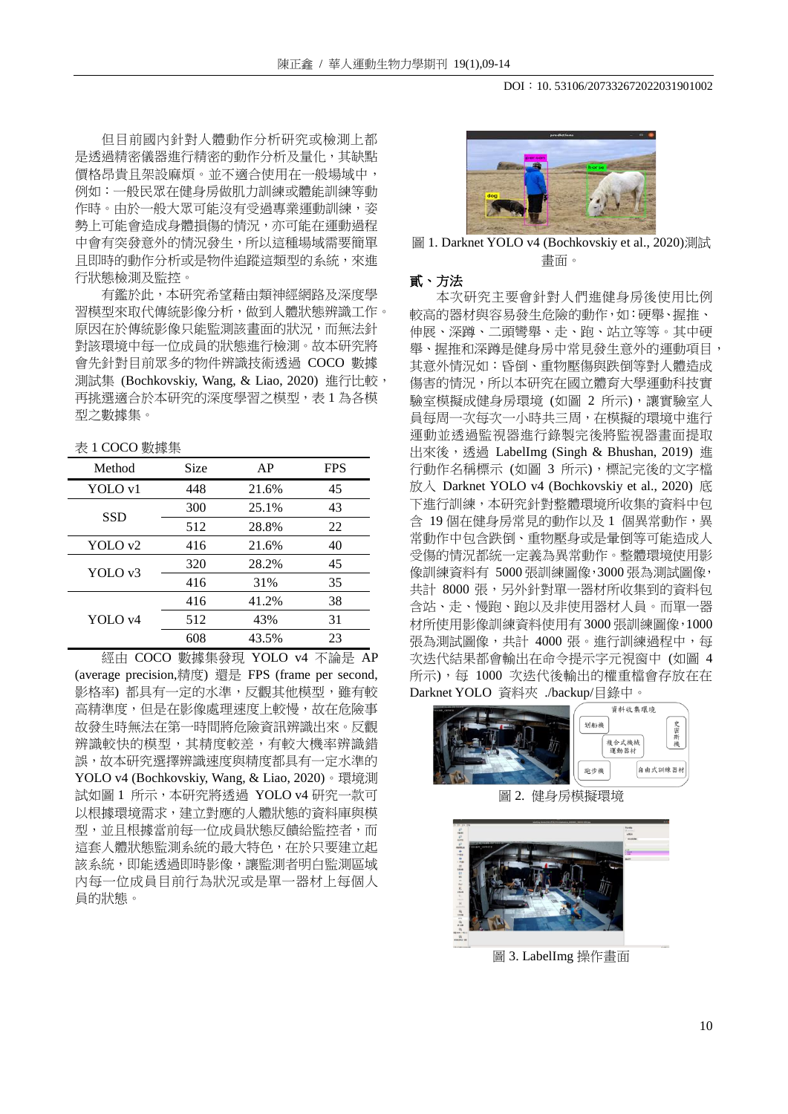但目前國內針對人體動作分析研究或檢測上都 是透過精密儀器進行精密的動作分析及量化,其缺點 價格昂貴且架設麻煩。並不適合使用在一般場域中, 例如:一般民眾在健身房做肌力訓練或體能訓練等動 作時。由於一般大眾可能沒有受過專業運動訓練,姿 勢上可能會造成身體損傷的情況,亦可能在運動過程 中會有突發意外的情況發生,所以這種場域需要簡單 且即時的動作分析或是物件追蹤這類型的系統,來進 行狀態檢測及監控。

有鑑於此,本研究希望藉由類神經網路及深度學 習模型來取代傳統影像分析,做到人體狀態辨識工作。 原因在於傳統影像只能監測該畫面的狀況,而無法針 對該環境中每一位成員的狀態進行檢測。故本研究將 會先針對目前眾多的物件辨識技術透過 COCO 數據 測試集 (Bochkovskiy, Wang, & Liao, 2020) 進行比較, 再挑選適合於本研究的深度學習之模型,表 1 為各模 型之數據集。

#### 表 1 COCO 數據集

| Method             | Size | AP    | <b>FPS</b> |
|--------------------|------|-------|------------|
| YOLO v1            | 448  | 21.6% | 45         |
| <b>SSD</b>         | 300  | 25.1% | 43         |
|                    | 512  | 28.8% | 22         |
| YOLO <sub>v2</sub> | 416  | 21.6% | 40         |
| YOLO <sub>v3</sub> | 320  | 28.2% | 45         |
|                    | 416  | 31%   | 35         |
| YOLO <sub>v4</sub> | 416  | 41.2% | 38         |
|                    | 512  | 43%   | 31         |
|                    | 608  | 43.5% | 23         |

經由 COCO 數據集發現 YOLO v4 不論是 AP (average precision,精度) 還是 FPS (frame per second, 影格率) 都具有一定的水準,反觀其他模型,雖有較 高精準度,但是在影像處理速度上較慢,故在危險事 故發生時無法在第一時間將危險資訊辨識出來。反觀 辨識較快的模型,其精度較差,有較大機率辨識錯 誤,故本研究選擇辨識速度與精度都具有一定水準的 YOLO v4 (Bochkovskiy, Wang, & Liao, 2020)。環境測 試如圖 1 所示,本研究將透過 YOLO v4 研究一款可 以根據環境需求,建立對應的人體狀態的資料庫與模 型,並且根據當前每一位成員狀態反饋給監控者,而 這套人體狀態監測系統的最大特色,在於只要建立起 該系統,即能透過即時影像,讓監測者明白監測區域 內每一位成員目前行為狀況或是單一器材上每個人 員的狀態。



圖 1. Darknet YOLO v4 (Bochkovskiy et al., 2020)測試 畫面。

#### 貳、方法

本次研究主要會針對人們進健身房後使用比例 較高的器材與容易發生危險的動作,如:硬舉、握推、 伸展、深蹲、二頭彎舉、走、跑、站立等等。其中硬 舉、握推和深蹲是健身房中常見發生意外的運動項目, 其意外情況如:昏倒、重物壓傷與跌倒等對人體造成 傷害的情況,所以本研究在國立體育大學運動科技實 驗室模擬成健身房環境 (如圖 2 所示),讓實驗室人 員每周一次每次一小時共三周,在模擬的環境中進行 運動並透過監視器進行錄製完後將監視器畫面提取 出來後,透過 LabelImg (Singh & Bhushan, 2019) 進 行動作名稱標示 (如圖 3 所示),標記完後的文字檔 放入 Darknet YOLO v4 (Bochkovskiy et al., 2020) 底 下進行訓練,本研究針對整體環境所收集的資料中包 含 19 個在健身房常見的動作以及 1 個異常動作,異 常動作中包含跌倒、重物壓身或是暈倒等可能造成人 受傷的情況都統一定義為異常動作。整體環境使用影 像訓練資料有 5000 張訓練圖像,3000 張為測試圖像, 共計 8000 張,另外針對單一器材所收集到的資料包 含站、走、慢跑、跑以及非使用器材人員。而單一器 材所使用影像訓練資料使用有 3000 張訓練圖像,1000 張為測試圖像,共計 4000張。進行訓練過程中,每 次迭代結果都會輸出在命令提示字元視窗中 (如圖 4 所示),每 1000 次迭代後輸出的權重檔會存放在在 Darknet YOLO 資料夾 ./backup/目錄中。



圖 2. 健身房模擬環境



圖 3. LabelImg 操作畫面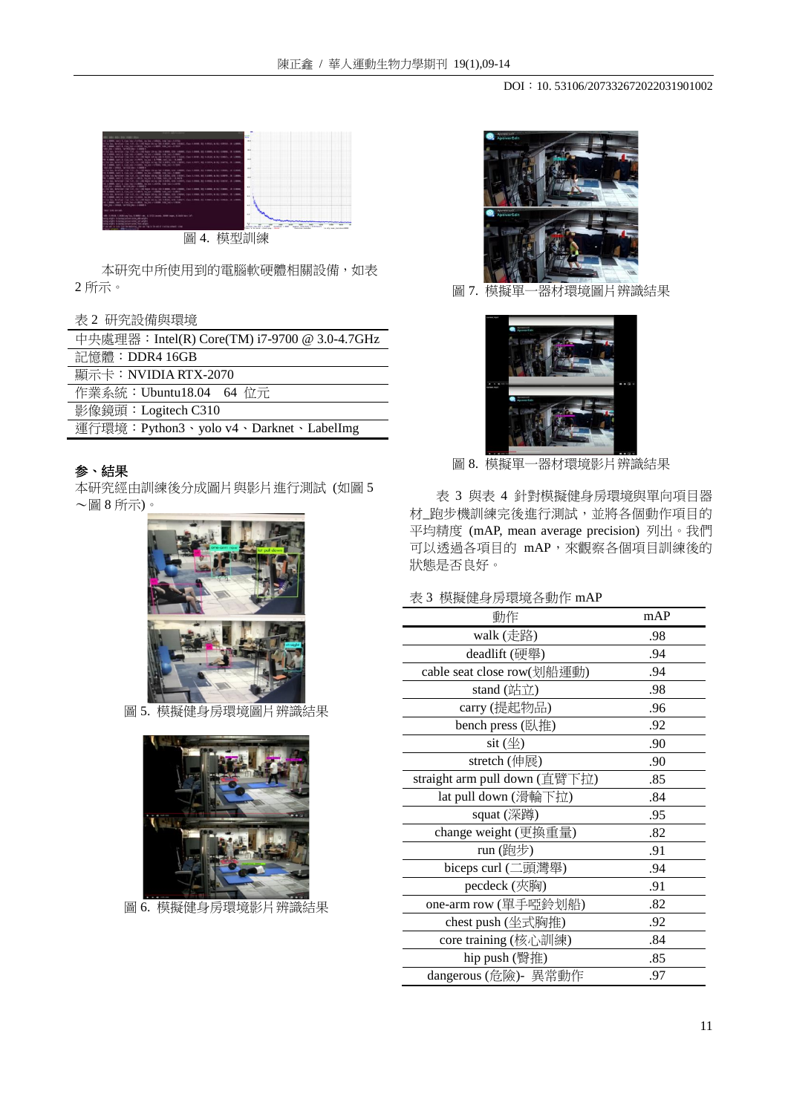#### DOI: 10. 53106/207332672022031901002



本研究中所使用到的電腦軟硬體相關設備,如表 2 所示。

| 表 2 研究設備與環境 |
|-------------|
|             |

| 中央處理器: Intel(R) Core(TM) i7-9700 @ 3.0-4.7GHz |  |  |
|-----------------------------------------------|--|--|
| 記憶體: DDR4 16GB                                |  |  |
| 顯示卡:NVIDIA RTX-2070                           |  |  |
| 作業系統: Ubuntu18.04 64 位元                       |  |  |
| 影像鏡頭: Logitech C310                           |  |  |
| 運行環境: Python3、yolo v4、Darknet、LabelImg        |  |  |

# 参、結果

本研究經由訓練後分成圖片與影片進行測試 (如圖 5 ~圖 8 所示)。



圖 5. 模擬健身房環境圖片辨識結果



圖 6. 模擬健身房環境影片辨識結果



圖 7. 模擬單一器材環境圖片辨識結果



圖 8. 模擬單一器材環境影片辨識結果

表 3 與表 4 針對模擬健身房環境與單向項目器 材\_跑步機訓練完後進行測試,並將各個動作項目的 平均精度 (mAP, mean average precision) 列出。我們 可以透過各項目的 mAP,來觀察各個項目訓練後的 狀態是否良好。

### 表 3 模擬健身房環境各動作 mAP

| 動作                             | mAP |
|--------------------------------|-----|
| walk (走路)                      | .98 |
| deadlift (硬舉)                  | .94 |
| cable seat close row(划船運動)     | .94 |
| stand $(\n  i$                 | .98 |
| carry (提起物品)                   | .96 |
| bench press (臥推)               | .92 |
| sit $(\underline{\mathbb{4}})$ | .90 |
| stretch (伸展)                   | .90 |
| straight arm pull down (直臂下拉)  | .85 |
| lat pull down (滑輪下拉)           | .84 |
| squat (深蹲)                     | .95 |
| change weight (更換重量)           | .82 |
| run (跑步)                       | .91 |
| biceps curl (二頭灣舉)             | .94 |
| pecdeck (夾胸)                   | .91 |
| one-arm row (單手啞鈴划船)           | .82 |
| chest push (坐式胸推)              | .92 |
| core training (核心訓練)           | .84 |
| hip push (臀推)                  | .85 |
| dangerous (危險)- 異常動作           | .97 |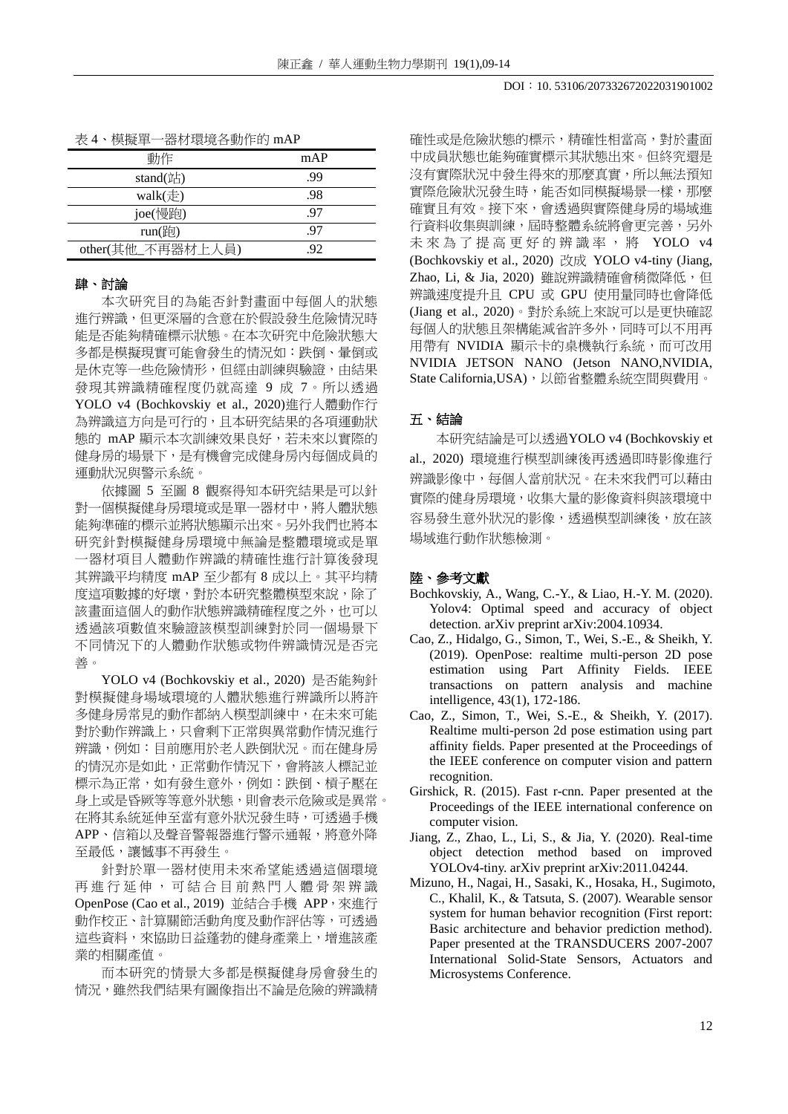| 一器材環境各動作的 mAP<br>表 4、模擬單- |
|---------------------------|
|---------------------------|

| 動作                | mAP |
|-------------------|-----|
| stand(站)          | .99 |
| walk $(\pm)$      | .98 |
| joe(慢跑)           | .97 |
| run(跑)            | -97 |
| other(其他_不再器材上人員) | 92  |

## 肆、討論

本次研究目的為能否針對畫面中每個人的狀態 進行辨識,但更深層的含意在於假設發生危險情況時 能是否能夠精確標示狀態。在本次研究中危險狀態大 多都是模擬現實可能會發生的情況如:跌倒、暈倒或 是休克等一些危險情形,但經由訓練與驗證,由結果 發現其辨識精確程度仍就高達 9 成 7。所以透過 YOLO v4 (Bochkovskiy et al., 2020)進行人體動作行 為辨識這方向是可行的,且本研究結果的各項運動狀 態的 mAP 顯示本次訓練效果良好,若未來以實際的 健身房的場景下,是有機會完成健身房內每個成員的 運動狀況與警示系統。

依據圖 5 至圖 8 觀察得知本研究結果是可以針 對一個模擬健身房環境或是單一器材中,將人體狀態 能夠準確的標示並將狀態顯示出來。另外我們也將本 研究針對模擬健身房環境中無論是整體環境或是單 一器材項目人體動作辨識的精確性進行計算後發現 其辨識平均精度 mAP 至少都有 8 成以上。其平均精 度這項數據的好壞,對於本研究整體模型來說,除了 該畫面這個人的動作狀態辨識精確程度之外,也可以 透過該項數值來驗證該模型訓練對於同一個場景下 不同情況下的人體動作狀態或物件辨識情況是否完 善。

YOLO v4 (Bochkovskiy et al., 2020) 是否能夠針 對模擬健身場域環境的人體狀態進行辨識所以將許 多健身房常見的動作都納入模型訓練中,在未來可能 對於動作辨識上,只會剩下正常與異常動作情況進行 辨識,例如:目前應用於老人跌倒狀況。而在健身房 的情況亦是如此,正常動作情況下,會將該人標記並 標示為正常,如有發生意外,例如:跌倒、槓子壓在 身上或是昏厥等等意外狀態,則會表示危險或是異常。 在將其系統延伸至當有意外狀況發生時,可透過手機 APP、信箱以及聲音警報器進行警示通報,將意外降 至最低,讓憾事不再發生。

針對於單一器材使用未來希望能透過這個環境 再 進 行 延 伸 , 可 結 合 目 前 熱 門 人 體 骨 架 辨 識 OpenPose (Cao et al., 2019) 並結合手機 APP,來進行 動作校正、計算關節活動角度及動作評估等,可透過 這些資料,來協助日益蓬勃的健身產業上,增進該產 業的相關產值。

而本研究的情景大多都是模擬健身房會發生的 情況,雖然我們結果有圖像指出不論是危險的辨識精

確性或是危險狀態的標示,精確性相當高,對於書面 中成員狀態也能夠確實標示其狀態出來。但終究還是 沒有實際狀況中發生得來的那麼真實,所以無法預知 實際危險狀況發生時,能否如同模擬場景一樣,那麼 確實且有效。接下來,會透過與實際健身房的場域進 行資料收集與訓練,屆時整體系統將會更完善,另外 未來為了提高更好的辨識率,將 YOLO v4 (Bochkovskiy et al., 2020) 改成 YOLO v4-tiny (Jiang, Zhao, Li, & Jia, 2020) 雖說辨識精確會稍微降低, 但 辨識速度提升且 CPU 或 GPU 使用量同時也會降低 (Jiang et al., 2020)。對於系統上來說可以是更快確認 每個人的狀態且架構能減省許多外,同時可以不用再 用帶有 NVIDIA 顯示卡的桌機執行系統,而可改用 NVIDIA JETSON NANO (Jetson NANO,NVIDIA, State California, USA),以節省整體系統空間與費用。

#### 五、結論

本研究結論是可以透過YOLO v4 (Bochkovskiy et al., 2020) 環境進行模型訓練後再透過即時影像進行 辨識影像中,每個人當前狀況。在未來我們可以藉由 實際的健身房環境,收集大量的影像資料與該環境中 容易發生意外狀況的影像,透過模型訓練後,放在該 場域進行動作狀態檢測。

#### 陸、參考文獻

- Bochkovskiy, A., Wang, C.-Y., & Liao, H.-Y. M. (2020). Yolov4: Optimal speed and accuracy of object detection. arXiv preprint arXiv:2004.10934.
- Cao, Z., Hidalgo, G., Simon, T., Wei, S.-E., & Sheikh, Y. (2019). OpenPose: realtime multi-person 2D pose estimation using Part Affinity Fields. IEEE transactions on pattern analysis and machine intelligence, 43(1), 172-186.
- Cao, Z., Simon, T., Wei, S.-E., & Sheikh, Y. (2017). Realtime multi-person 2d pose estimation using part affinity fields. Paper presented at the Proceedings of the IEEE conference on computer vision and pattern recognition.
- Girshick, R. (2015). Fast r-cnn. Paper presented at the Proceedings of the IEEE international conference on computer vision.
- Jiang, Z., Zhao, L., Li, S., & Jia, Y. (2020). Real-time object detection method based on improved YOLOv4-tiny. arXiv preprint arXiv:2011.04244.
- Mizuno, H., Nagai, H., Sasaki, K., Hosaka, H., Sugimoto, C., Khalil, K., & Tatsuta, S. (2007). Wearable sensor system for human behavior recognition (First report: Basic architecture and behavior prediction method). Paper presented at the TRANSDUCERS 2007-2007 International Solid-State Sensors, Actuators and Microsystems Conference.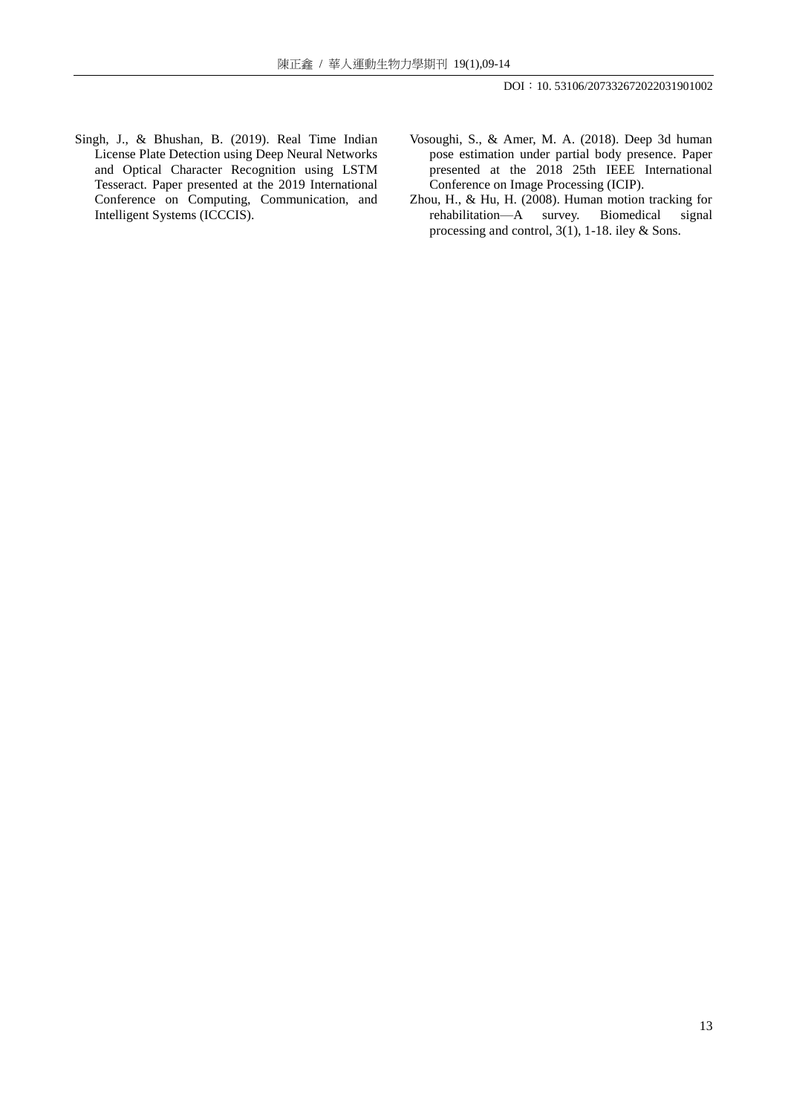- Singh, J., & Bhushan, B. (2019). Real Time Indian License Plate Detection using Deep Neural Networks and Optical Character Recognition using LSTM Tesseract. Paper presented at the 2019 International Conference on Computing, Communication, and Intelligent Systems (ICCCIS).
- Vosoughi, S., & Amer, M. A. (2018). Deep 3d human pose estimation under partial body presence. Paper presented at the 2018 25th IEEE International Conference on Image Processing (ICIP).
- Zhou, H., & Hu, H. (2008). Human motion tracking for rehabilitation—A survey. Biomedical signal processing and control, 3(1), 1-18. iley & Sons.